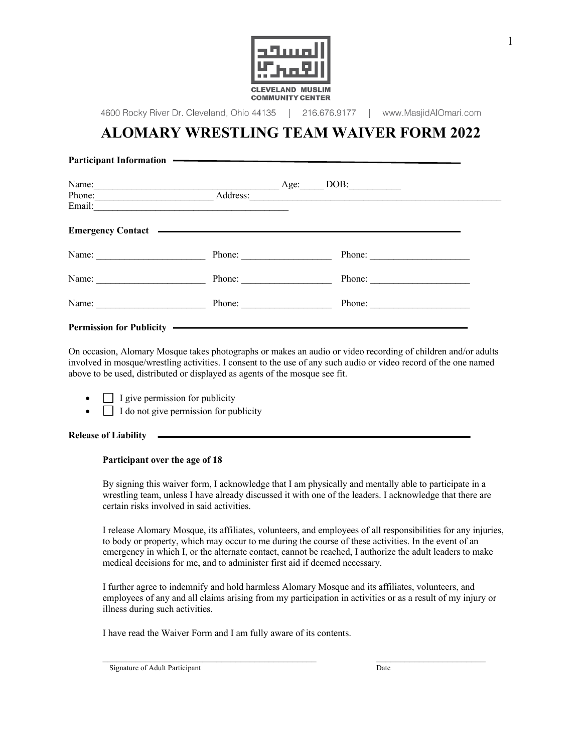

4600 Rocky River Dr. Cleveland, Ohio 44135 | 216.676.9177 | www.MasjidAlOmari.com

# **ALOMARY WRESTLING TEAM WAIVER FORM 2022**

| Name:<br><b>Age:</b> Age:                                   |          | DOB:                                                              |  |
|-------------------------------------------------------------|----------|-------------------------------------------------------------------|--|
| Phone:<br><u> 1980 - Johann Barbara, martxa alemaniar a</u> | Address: | <u> 1980 - Johann Barbara, margaret eta idazlearia (h. 1905).</u> |  |
|                                                             |          |                                                                   |  |
|                                                             | Phone:   | Phone:                                                            |  |
| Name:<br><u> 1980 - Johann Barbara, martxa a</u>            | Phone:   | Phone:                                                            |  |
| Name:                                                       | Phone:   |                                                                   |  |
| Permission for Publicity (Electronic Property)              |          |                                                                   |  |

On occasion, Alomary Mosque takes photographs or makes an audio or video recording of children and/or adults involved in mosque/wrestling activities. I consent to the use of any such audio or video record of the one named above to be used, distributed or displayed as agents of the mosque see fit.

- $\Box$  I give permission for publicity
- $\Box$  I do not give permission for publicity

### **Release of Liability**

### **Participant over the age of 18**

By signing this waiver form, I acknowledge that I am physically and mentally able to participate in a wrestling team, unless I have already discussed it with one of the leaders. I acknowledge that there are certain risks involved in said activities.

I release Alomary Mosque, its affiliates, volunteers, and employees of all responsibilities for any injuries, to body or property, which may occur to me during the course of these activities. In the event of an emergency in which I, or the alternate contact, cannot be reached, I authorize the adult leaders to make medical decisions for me, and to administer first aid if deemed necessary.

I further agree to indemnify and hold harmless Alomary Mosque and its affiliates, volunteers, and employees of any and all claims arising from my participation in activities or as a result of my injury or illness during such activities.

 $\mathcal{L}_\mathcal{L} = \mathcal{L}_\mathcal{L} = \mathcal{L}_\mathcal{L} = \mathcal{L}_\mathcal{L} = \mathcal{L}_\mathcal{L} = \mathcal{L}_\mathcal{L} = \mathcal{L}_\mathcal{L} = \mathcal{L}_\mathcal{L} = \mathcal{L}_\mathcal{L} = \mathcal{L}_\mathcal{L} = \mathcal{L}_\mathcal{L} = \mathcal{L}_\mathcal{L} = \mathcal{L}_\mathcal{L} = \mathcal{L}_\mathcal{L} = \mathcal{L}_\mathcal{L} = \mathcal{L}_\mathcal{L} = \mathcal{L}_\mathcal{L}$ 

I have read the Waiver Form and I am fully aware of its contents.

Signature of Adult Participant Date